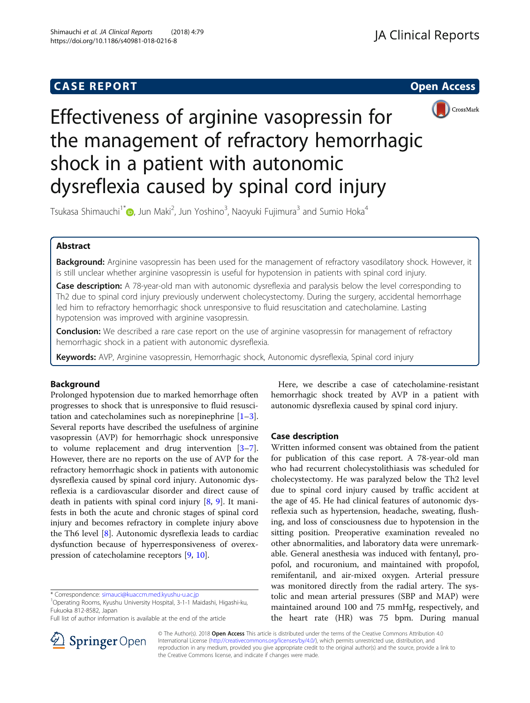# **CASE REPORT CASE REPORT CASE REPORT**





# Effectiveness of arginine vasopressin for the management of refractory hemorrhagic shock in a patient with autonomic dysreflexia caused by spinal cord injury

Tsukasa Shimauchi $^{\dagger^*}$  , Jun Maki $^2$ , Jun Yoshino $^3$ , Naoyuki Fujimura $^3$  and Sumio Hoka $^4$ 

# Abstract

Background: Arginine vasopressin has been used for the management of refractory vasodilatory shock. However, it is still unclear whether arginine vasopressin is useful for hypotension in patients with spinal cord injury.

Case description: A 78-year-old man with autonomic dysreflexia and paralysis below the level corresponding to Th2 due to spinal cord injury previously underwent cholecystectomy. During the surgery, accidental hemorrhage led him to refractory hemorrhagic shock unresponsive to fluid resuscitation and catecholamine. Lasting hypotension was improved with arginine vasopressin.

**Conclusion:** We described a rare case report on the use of arginine vasopressin for management of refractory hemorrhagic shock in a patient with autonomic dysreflexia.

Keywords: AVP, Arginine vasopressin, Hemorrhagic shock, Autonomic dysreflexia, Spinal cord injury

# Background

Prolonged hypotension due to marked hemorrhage often progresses to shock that is unresponsive to fluid resuscitation and catecholamines such as norepinephrine  $[1-3]$  $[1-3]$  $[1-3]$  $[1-3]$ . Several reports have described the usefulness of arginine vasopressin (AVP) for hemorrhagic shock unresponsive to volume replacement and drug intervention [\[3](#page-2-0)–[7](#page-2-0)]. However, there are no reports on the use of AVP for the refractory hemorrhagic shock in patients with autonomic dysreflexia caused by spinal cord injury. Autonomic dysreflexia is a cardiovascular disorder and direct cause of death in patients with spinal cord injury  $[8, 9]$  $[8, 9]$  $[8, 9]$  $[8, 9]$  $[8, 9]$ . It manifests in both the acute and chronic stages of spinal cord injury and becomes refractory in complete injury above the Th6 level [\[8](#page-2-0)]. Autonomic dysreflexia leads to cardiac dysfunction because of hyperresponsiveness of overexpression of catecholamine receptors [\[9](#page-2-0), [10](#page-2-0)].



# Case description

Written informed consent was obtained from the patient for publication of this case report. A 78-year-old man who had recurrent cholecystolithiasis was scheduled for cholecystectomy. He was paralyzed below the Th2 level due to spinal cord injury caused by traffic accident at the age of 45. He had clinical features of autonomic dysreflexia such as hypertension, headache, sweating, flushing, and loss of consciousness due to hypotension in the sitting position. Preoperative examination revealed no other abnormalities, and laboratory data were unremarkable. General anesthesia was induced with fentanyl, propofol, and rocuronium, and maintained with propofol, remifentanil, and air-mixed oxygen. Arterial pressure was monitored directly from the radial artery. The systolic and mean arterial pressures (SBP and MAP) were maintained around 100 and 75 mmHg, respectively, and the heart rate (HR) was 75 bpm. During manual



© The Author(s). 2018 Open Access This article is distributed under the terms of the Creative Commons Attribution 4.0 International License ([http://creativecommons.org/licenses/by/4.0/\)](http://creativecommons.org/licenses/by/4.0/), which permits unrestricted use, distribution, and reproduction in any medium, provided you give appropriate credit to the original author(s) and the source, provide a link to the Creative Commons license, and indicate if changes were made.

<sup>\*</sup> Correspondence: [simauci@kuaccm.med.kyushu-u.ac.jp](mailto:simauci@kuaccm.med.kyushu-u.ac.jp) <sup>1</sup>

<sup>&</sup>lt;sup>1</sup>Operating Rooms, Kyushu University Hospital, 3-1-1 Maidashi, Higashi-ku, Fukuoka 812-8582, Japan

Full list of author information is available at the end of the article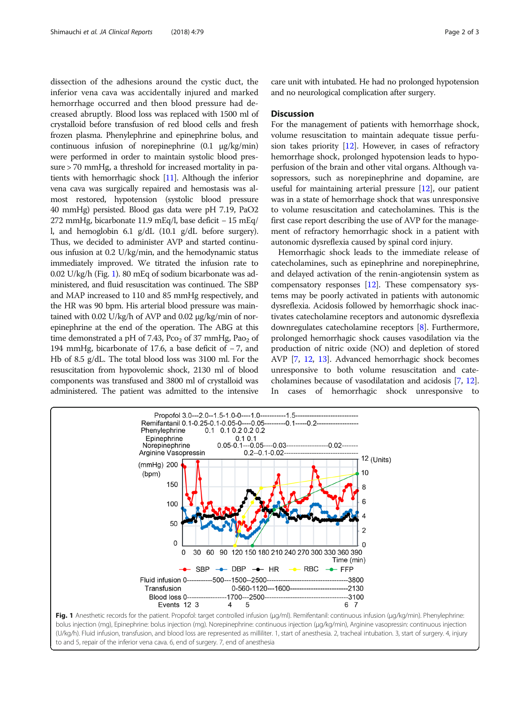dissection of the adhesions around the cystic duct, the inferior vena cava was accidentally injured and marked hemorrhage occurred and then blood pressure had decreased abruptly. Blood loss was replaced with 1500 ml of crystalloid before transfusion of red blood cells and fresh frozen plasma. Phenylephrine and epinephrine bolus, and continuous infusion of norepinephrine (0.1 μg/kg/min) were performed in order to maintain systolic blood pressure > 70 mmHg, a threshold for increased mortality in patients with hemorrhagic shock [\[11\]](#page-2-0). Although the inferior vena cava was surgically repaired and hemostasis was almost restored, hypotension (systolic blood pressure 40 mmHg) persisted. Blood gas data were pH 7.19, PaO2 272 mmHg, bicarbonate 11.9 mEq/l, base deficit − 15 mEq/ l, and hemoglobin 6.1 g/dL (10.1 g/dL before surgery). Thus, we decided to administer AVP and started continuous infusion at 0.2 U/kg/min, and the hemodynamic status immediately improved. We titrated the infusion rate to 0.02 U/kg/h (Fig. 1). 80 mEq of sodium bicarbonate was administered, and fluid resuscitation was continued. The SBP and MAP increased to 110 and 85 mmHg respectively, and the HR was 90 bpm. His arterial blood pressure was maintained with 0.02 U/kg/h of AVP and 0.02 μg/kg/min of norepinephrine at the end of the operation. The ABG at this time demonstrated a pH of 7.43,  $PCO<sub>2</sub>$  of 37 mmHg,  $Pao<sub>2</sub>$  of 194 mmHg, bicarbonate of 17.6, a base deficit of − 7, and Hb of 8.5 g/dL. The total blood loss was 3100 ml. For the resuscitation from hypovolemic shock, 2130 ml of blood components was transfused and 3800 ml of crystalloid was administered. The patient was admitted to the intensive

care unit with intubated. He had no prolonged hypotension and no neurological complication after surgery.

## **Discussion**

For the management of patients with hemorrhage shock, volume resuscitation to maintain adequate tissue perfusion takes priority  $[12]$ . However, in cases of refractory hemorrhage shock, prolonged hypotension leads to hypoperfusion of the brain and other vital organs. Although vasopressors, such as norepinephrine and dopamine, are useful for maintaining arterial pressure  $[12]$  $[12]$  $[12]$ , our patient was in a state of hemorrhage shock that was unresponsive to volume resuscitation and catecholamines. This is the first case report describing the use of AVP for the management of refractory hemorrhagic shock in a patient with autonomic dysreflexia caused by spinal cord injury.

Hemorrhagic shock leads to the immediate release of catecholamines, such as epinephrine and norepinephrine, and delayed activation of the renin-angiotensin system as compensatory responses [\[12\]](#page-2-0). These compensatory systems may be poorly activated in patients with autonomic dysreflexia. Acidosis followed by hemorrhagic shock inactivates catecholamine receptors and autonomic dysreflexia downregulates catecholamine receptors [[8\]](#page-2-0). Furthermore, prolonged hemorrhagic shock causes vasodilation via the production of nitric oxide (NO) and depletion of stored AVP [\[7](#page-2-0), [12](#page-2-0), [13](#page-2-0)]. Advanced hemorrhagic shock becomes unresponsive to both volume resuscitation and catecholamines because of vasodilatation and acidosis [\[7](#page-2-0), [12](#page-2-0)]. In cases of hemorrhagic shock unresponsive to